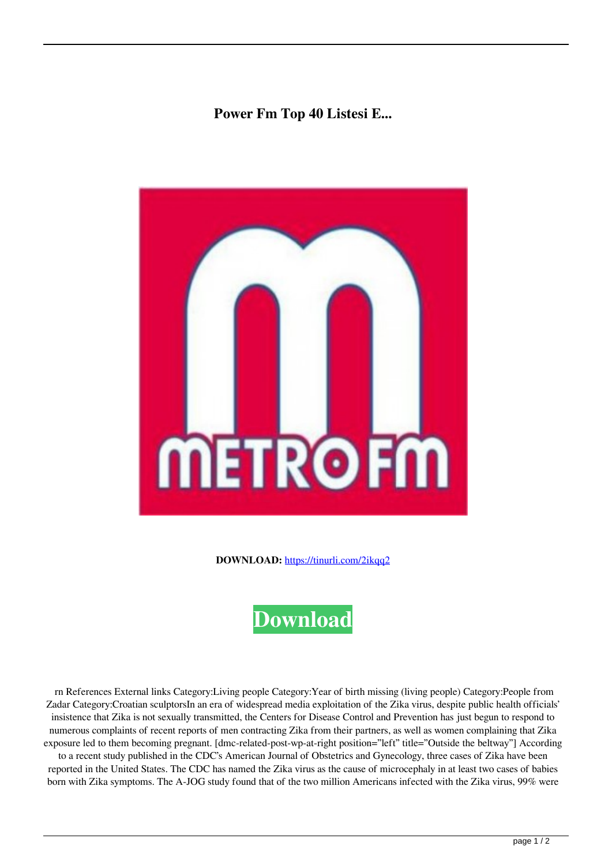## **Power Fm Top 40 Listesi E...**



**DOWNLOAD:** <https://tinurli.com/2ikqq2>



 rn References External links Category:Living people Category:Year of birth missing (living people) Category:People from Zadar Category:Croatian sculptorsIn an era of widespread media exploitation of the Zika virus, despite public health officials' insistence that Zika is not sexually transmitted, the Centers for Disease Control and Prevention has just begun to respond to numerous complaints of recent reports of men contracting Zika from their partners, as well as women complaining that Zika exposure led to them becoming pregnant. [dmc-related-post-wp-at-right position="left" title="Outside the beltway"] According to a recent study published in the CDC's American Journal of Obstetrics and Gynecology, three cases of Zika have been reported in the United States. The CDC has named the Zika virus as the cause of microcephaly in at least two cases of babies born with Zika symptoms. The A-JOG study found that of the two million Americans infected with the Zika virus, 99% were